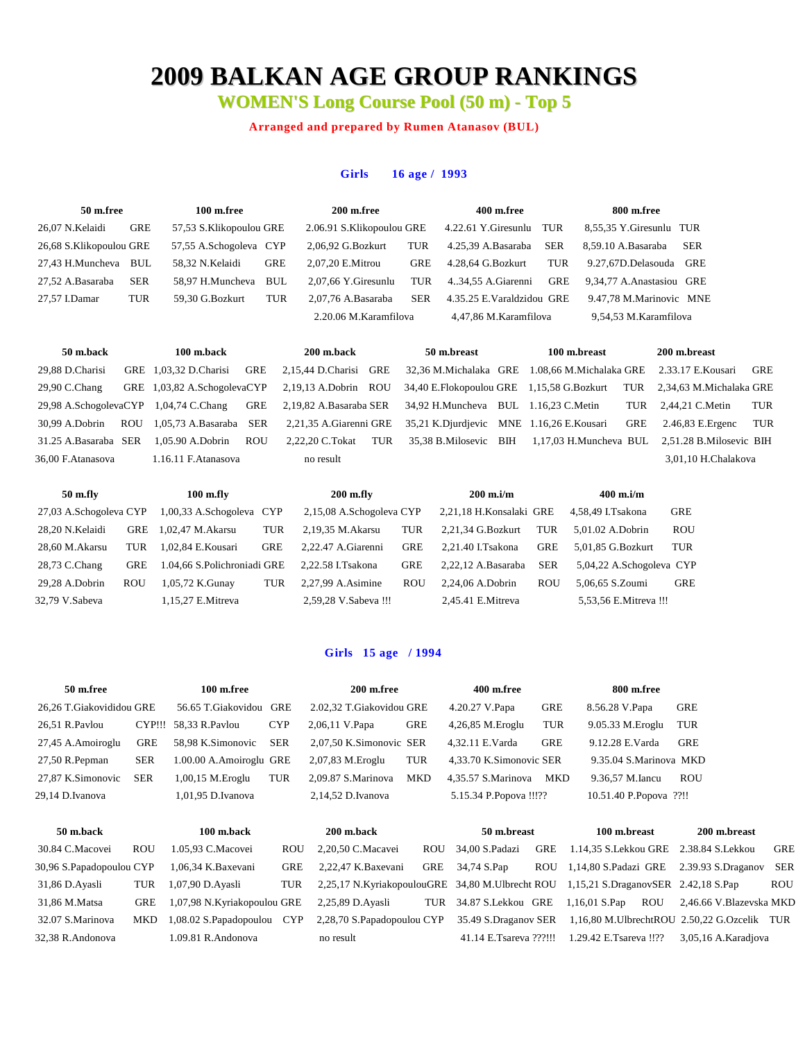# **2009 BALKAN AGE GROUP RANKINGS**

**WOMEN'S Long Course Pool (50 m) - Top 5**

**Arranged and prepared by Rumen Atanasov (BUL)**

#### **Girls 16 age / 1993**

| 50 m.free               |            | 100 m.free              |            | 200 m.free                |            | 400 m.free                |            | 800 m.free                |            |
|-------------------------|------------|-------------------------|------------|---------------------------|------------|---------------------------|------------|---------------------------|------------|
| 26.07 N.Kelaidi         | GRE        | 57,53 S.Klikopoulou GRE |            | 2.06.91 S.Klikopoulou GRE |            | 4.22.61 Y.Giresunlu TUR   |            | 8,55,35 Y.Giresunlu TUR   |            |
| 26,68 S.Klikopoulou GRE |            | 57,55 A.Schogoleva CYP  |            | 2,06,92 G.Bozkurt         | TUR        | 4.25,39 A.Basaraba        | <b>SER</b> | 8.59.10 A.Basaraba        | <b>SER</b> |
| 27.43 H.Muncheva        | BUL        | 58.32 N.Kelaidi         | <b>GRE</b> | 2.07.20 E.Mitrou          | <b>GRE</b> | 4.28.64 G.Bozkurt         | TUR        | 9.27.67D.Delasouda GRE    |            |
| 27.52 A.Basaraba        | <b>SER</b> | 58.97 H.Muncheva        | BUL        | 2.07.66 Y.Giresunlu       | TUR        | 434,55 A.Giarenni         | GRE        | 9.34.77 A. Anastasiou GRE |            |
| 27.57 I.Damar           | TUR        | 59.30 G.Bozkurt         | TUR        | 2.07.76 A.Basaraba        | <b>SER</b> | 4.35.25 E.Varaldzidou GRE |            | 9.47,78 M.Marinovic MNE   |            |
|                         |            |                         |            | 2.20.06 M.Karamfilova     |            | 4,47,86 M.Karamfilova     |            | 9,54,53 M.Karamfilova     |            |
|                         |            |                         |            |                           |            |                           |            |                           |            |

| 29,88 D.Charisi               | GRE 1.03.32 |
|-------------------------------|-------------|
| 29,90 C.Chang                 | GRE 1,03,82 |
| 29,98 A.SchogolevaCYP 1,04,74 |             |
| 30,99 A.Dobrin ROU 1,05,73    |             |
| 31.25 A.Basaraba SER 1,05.90  |             |
|                               |             |

| 100 m.back            |            |
|-----------------------|------------|
| .03.32 D.Charisi      | GRE        |
| 03,82 A.SchogolevaCYP |            |
| ,04,74 C.Chang        | GRE        |
| .05.73 A.Basaraba SER |            |
| .05.90 A.Dobrin       | <b>ROU</b> |
| 16.11 F Atanasova     |            |

**50 m.back 100 m.back 200 m.back 50 m.breast 100 m.breast 200 m.breast** 29,88 D.Charisi GRE 1,03,32 D.Charisi GRE 2,15,44 D.Charisi GRE 32,36 M.Michalaka GRE 1.08,66 M.Michalaka GRE 2.33.17 E.Kousari GRE 2,19,13 A.Dobrin ROU 34,40 E.Flokopoulou GRE 1,15,58 G.Bozkurt TUR 2,34,63 M.Michalaka GRE 2,19,82 A.Basaraba SER 34,92 H.Muncheva BUL 1.16,23 C.Metin TUR 2,44,21 C.Metin TUR 2,21,35 A.Giarenni GRE 35,21 K.Djurdjevic MNE 1.16,26 E.Kousari GRE 2.46,83 E.Ergenc TUR 31.25 A.Basaraba SER 1,05.90 A.Dobrin ROU 2,22,20 C.Tokat TUR 35,38 B.Milosevic BIH 1,17,03 H.Muncheva BUL 2,51.28 B.Milosevic BIH 36,00 F.Atanasova 1.16.11 F.Atanasova no result 3,01,10 H.Chalakova

| 50 m.fly               |            | $100$ m.fly                 |            | $200$ m.fly              |            | $200 \text{ m}$ .i/m    |            | $400 \text{ m}$ .i/m     |            |
|------------------------|------------|-----------------------------|------------|--------------------------|------------|-------------------------|------------|--------------------------|------------|
| 27,03 A.Schogoleva CYP |            | 1,00,33 A.Schogoleva CYP    |            | 2,15,08 A.Schogoleva CYP |            | 2,21,18 H.Konsalaki GRE |            | 4.58.49 I.Tsakona        | GRE        |
| 28,20 N.Kelaidi        | <b>GRE</b> | 1.02.47 M.Akarsu            | TUR        | 2.19.35 M. Akarsu        | TUR        | 2.21.34 G.Bozkurt       | TUR        | 5.01.02 A.Dobrin         | <b>ROU</b> |
| 28,60 M.Akarsu         | TUR        | 1.02.84 E.Kousari           | <b>GRE</b> | 2.22.47 A.Giarenni       | <b>GRE</b> | 2.21.40 I.Tsakona       | <b>GRE</b> | 5.01.85 G.Bozkurt        | TUR        |
| 28,73 C.Chang          | GRE        | 1.04.66 S.Polichroniadi GRE |            | 2.22.58 I.Tsakona        | <b>GRE</b> | 2.22.12 A.Basaraba      | <b>SER</b> | 5,04,22 A.Schogoleva CYP |            |
| $29.28$ A.Dobrin       | <b>ROU</b> | 1,05,72 K.Gunay             | TUR        | 2.27.99 A.Asimine        | <b>ROU</b> | 2.24.06 A.Dobrin        | <b>ROU</b> | 5,06,65 S.Zoumi          | <b>GRE</b> |
| 32,79 V.Sabeva         |            | $1.15.27$ E. Mitreva        |            | 2,59,28 V.Sabeva !!!     |            | 2,45.41 E.Mitreva       |            | 5,53,56 E. Mitreva !!!   |            |
|                        |            |                             |            |                          |            |                         |            |                          |            |

#### **Girls 15 age /1994**

| 50 m.free                |            | 100 m.free                  |            | 200 m.free                                      |            | 400 m.free              |            | 800 m.free                            |                         |            |
|--------------------------|------------|-----------------------------|------------|-------------------------------------------------|------------|-------------------------|------------|---------------------------------------|-------------------------|------------|
| 26,26 T.Giakovididou GRE |            | 56.65 T.Giakovidou GRE      |            | 2.02,32 T.Giakovidou GRE                        |            | 4.20.27 V.Papa          | GRE        | 8.56.28 V.Papa                        | GRE                     |            |
| 26,51 R.Pavlou           | CYP!!!     | 58,33 R.Pavlou              | <b>CYP</b> | 2,06,11 V.Papa                                  | GRE        | $4,26,85$ M. Eroglu     | <b>TUR</b> | 9.05.33 M.Eroglu                      | TUR                     |            |
| 27,45 A.Amoiroglu        | GRE        | 58,98 K.Simonovic           | SER        | 2,07,50 K.Simonovic SER                         |            | 4,32.11 E.Varda         | GRE        | 9.12.28 E.Varda                       | <b>GRE</b>              |            |
| 27,50 R.Pepman           | <b>SER</b> | 1.00.00 A.Amoiroglu GRE     |            | 2,07,83 M.Eroglu                                | TUR        | 4,33.70 K.Simonovic SER |            | 9.35.04 S.Marinova MKD                |                         |            |
| 27,87 K.Simonovic        | <b>SER</b> | $1,00,15$ M. Eroglu         | TUR        | 2.09.87 S.Marinova                              | MKD        | 4.35.57 S.Marinova      | MKD        | 9.36,57 M.Iancu                       | <b>ROU</b>              |            |
| 29,14 D.Ivanova          |            | 1,01,95 D.Ivanova           |            | 2,14,52 D.Ivanova                               |            | 5.15.34 P.Popova !!!??  |            | 10.51.40 P.Popova ??!!                |                         |            |
|                          |            |                             |            |                                                 |            |                         |            |                                       |                         |            |
| 50 m.back                |            | 100 m.back                  |            | 200 m.back                                      |            | 50 m.breast             |            | 100 m.breast                          | 200 m.breast            |            |
| 30.84 C.Macovei          | <b>ROU</b> | 1.05,93 C.Macovei           | <b>ROU</b> | 2,20,50 C.Macavei                               | <b>ROU</b> | 34,00 S.Padazi          | GRE        | 1.14,35 S.Lekkou GRE 2.38.84 S.Lekkou |                         | <b>GRE</b> |
| 30,96 S.Papadopoulou CYP |            | 1,06,34 K.Baxevani          | GRE        | 2,22,47 K.Baxevani                              | GRE        | 34,74 S.Pap             | ROU        | 1,14,80 S.Padazi GRE                  | 2.39.93 S.Draganov      | SER        |
| 31,86 D. Ayasli          | TUR        | 1,07,90 D.Ayasli            | TUR        | 2,25,17 N.KyriakopoulouGRE 34,80 M.Ulbrecht ROU |            |                         |            | 1,15,21 S.DraganovSER 2.42,18 S.Pap   |                         | <b>ROU</b> |
| 31,86 M.Matsa            | <b>GRE</b> | 1,07,98 N.Kyriakopoulou GRE |            | 2,25,89 D.Ayasli                                | TUR        | 34.87 S.Lekkou GRE      |            | $1,16,01$ S.Pap<br><b>ROU</b>         | 2.46.66 V.Blazevska MKD |            |

32.07 S.Marinova MKD 1,08.02 S.Papadopoulou CYP 2,28,70 S.Papadopoulou CYP 35.49 S.Draganov SER 1,16,80 M.UlbrechtROU 2.50,22 G.Ozcelik TUR 32,38 R.Andonova 1.09.81 R.Andonova no result 41.14 E.Tsareva ???!!! 1.29.42 E.Tsareva !!?? 3,05,16 A.Karadjova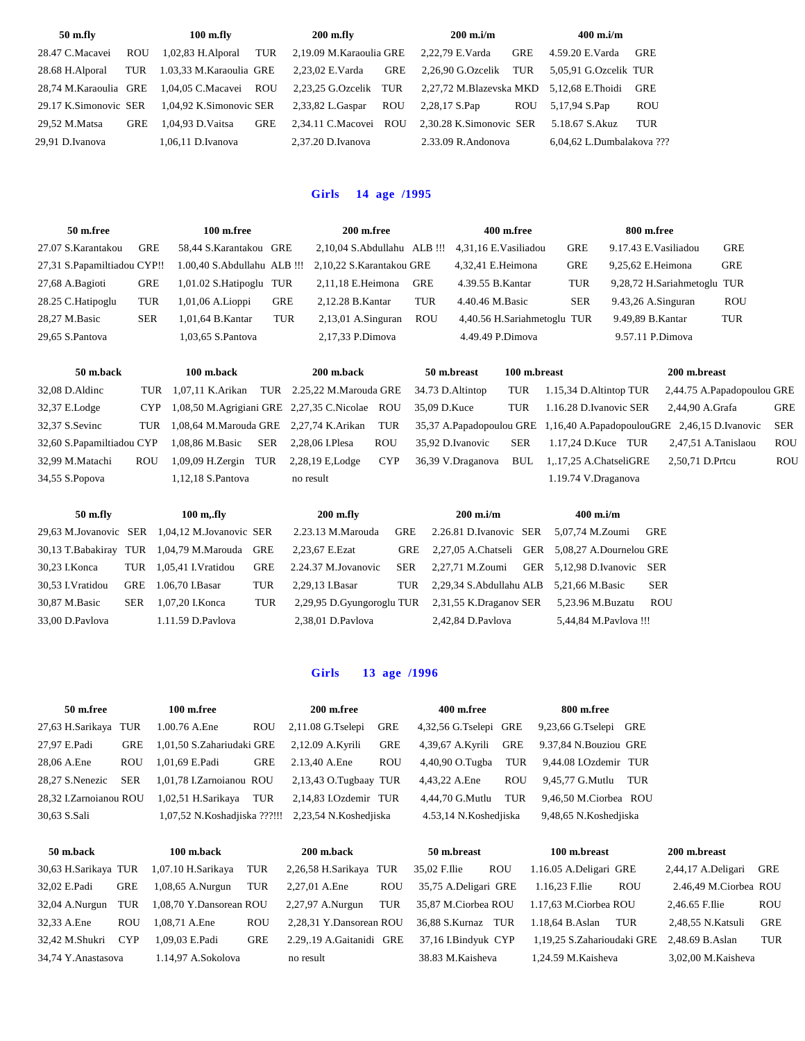| 50 m.fly              |            | $100$ m.fly             |            | $200$ m.fly             |            | $200 \text{ m}$ .i/m                     |            | $400$ m.i/m               |            |
|-----------------------|------------|-------------------------|------------|-------------------------|------------|------------------------------------------|------------|---------------------------|------------|
| 28.47 C.Macavei       | <b>ROU</b> | $1,02,83$ H. Alporal    | TUR        | 2.19.09 M.Karaoulia GRE |            | 2,22,79 E.Varda                          | <b>GRE</b> | 4.59.20 E.Varda           | <b>GRE</b> |
| 28.68 H.Alporal       | TUR        | 1.03.33 M.Karaoulia GRE |            | 2.23.02 E.Varda         | <b>GRE</b> | 2.26.90 G.Ozcelik TUR                    |            | 5.05.91 G.Ozcelik TUR     |            |
| 28,74 M.Karaoulia GRE |            | 1.04.05 C.Macavei ROU   |            | 2.23.25 G.Ozcelik TUR   |            | 2,27,72 M.Blazevska MKD 5,12,68 E.Thoidi |            |                           | GRE        |
| 29.17 K.Simonovic SER |            | 1.04.92 K.Simonovic SER |            | 2,33,82 L.Gaspar        | <b>ROU</b> | 2,28,17 S.Pap                            | <b>ROU</b> | 5,17,94 S.Pap             | <b>ROU</b> |
| 29.52 M.Matsa         | <b>GRE</b> | 1.04.93 D.Vaitsa        | <b>GRE</b> | 2.34.11 C.Macovei ROU   |            | 2.30.28 K.Simonovic SER                  |            | 5.18.67 S.Akuz            | TUR        |
| 29.91 D.Ivanova       |            | 1.06.11 D.Ivanova       |            | $2.37.20$ D.Ivanova     |            | $2.33.09$ R. Andonova                    |            | 6.04.62 L.Dumbalakova ??? |            |

### **Girls 14 age /1995**

| 50 m.free                   |            | 100 m.free              |     | 200 m.free                                           |            | 400 m.free                  |            | 800 m.free                  |            |
|-----------------------------|------------|-------------------------|-----|------------------------------------------------------|------------|-----------------------------|------------|-----------------------------|------------|
| 27.07 S.Karantakou          | GRE        | 58.44 S.Karantakou GRE  |     | $2,10,04$ S. Abdullahu ALB !!!                       |            | 4.31.16 E.Vasiliadou        | <b>GRE</b> | 9.17.43 E. Vasiliadou       | <b>GRE</b> |
| 27,31 S.Papamiltiadou CYP!! |            |                         |     | 1.00,40 S.Abdullahu ALB !!! 2,10,22 S.Karantakou GRE |            | 4.32.41 E.Heimona           | <b>GRE</b> | 9.25.62 E.Heimona           | <b>GRE</b> |
| 27,68 A.Bagioti             | GRE        | 1,01.02 S.Hatipoglu TUR |     | $2.11.18$ E.Heimona                                  | <b>GRE</b> | 4.39.55 B. Kantar           | TUR        | 9,28,72 H.Sariahmetoglu TUR |            |
| 28.25 C.Hatipoglu           | TUR        | $1,01,06$ A. Lioppi     | GRE | 2.12.28 B. Kantar                                    | TUR        | 4.40.46 M.Basic             | <b>SER</b> | $9.43,26$ A.Singuran        | <b>ROU</b> |
| 28.27 M.Basic               | <b>SER</b> | 1.01.64 B.Kantar        | TUR | $2,13,01$ A.Singuran                                 | <b>ROU</b> | 4,40.56 H.Sariahmetoglu TUR |            | 9.49.89 B. Kantar           | TUR        |
| 29.65 S.Pantova             |            | 1,03,65 S.Pantova       |     | 2,17,33 P.Dimova                                     |            | 4.49.49 P.Dimova            |            | 9.57.11 P.Dimova            |            |
|                             |            |                         |     |                                                      |            |                             |            |                             |            |

| 50 m.back                 |            | 100 m.back                                                                                                                                                                                                                                                                                                                                                                           | 200 m.back                                     |            | 50 m.breast      | 100 m.breast |                                                                           | 200 m.breast               |            |
|---------------------------|------------|--------------------------------------------------------------------------------------------------------------------------------------------------------------------------------------------------------------------------------------------------------------------------------------------------------------------------------------------------------------------------------------|------------------------------------------------|------------|------------------|--------------|---------------------------------------------------------------------------|----------------------------|------------|
| $32,08$ D. Aldinc         |            | TUR 1.07.11 K. Arikan                                                                                                                                                                                                                                                                                                                                                                | TUR 2.25,22 M.Marouda GRE                      |            | 34.73 D.Altintop | TUR          | 1.15,34 D.Altintop TUR                                                    | 2,44.75 A.Papadopoulou GRE |            |
| 32,37 E.Lodge             | CYP.       |                                                                                                                                                                                                                                                                                                                                                                                      | 1,08,50 M.Agrigiani GRE 2,27,35 C.Nicolae ROU  |            | 35,09 D.Kuce     | TUR          | 1.16.28 D.Ivanovic SER                                                    | 2.44.90 A.Grafa            | GRE        |
| 32,37 S.Sevinc            |            |                                                                                                                                                                                                                                                                                                                                                                                      | TUR 1,08,64 M.Marouda GRE 2,27,74 K.Arikan TUR |            |                  |              | 35,37 A.Papadopoulou GRE 1,16,40 A.PapadopoulouGRE 2,46,15 D.Ivanovic SER |                            |            |
| 32.60 S.Papamiltiadou CYP |            | 1.08.86 M.Basic SER 2.28.06 I.Plesa                                                                                                                                                                                                                                                                                                                                                  |                                                | <b>ROU</b> | 35.92 D.Ivanovic | SER          | $1.17.24$ D.Kuce TUR                                                      | 2.47.51 A.Tanislaou        | <b>ROU</b> |
| 32.99 M.Matachi           | <b>ROU</b> | $1.09.09$ H.Zergin TUR                                                                                                                                                                                                                                                                                                                                                               | 2.28.19 E.Lodge                                | <b>CYP</b> |                  |              | 36,39 V.Draganova BUL 1, 17,25 A.ChatseliGRE                              | 2.50.71 D.Prtcu            | <b>ROU</b> |
| $21.550$ $\overline{D}$   |            | $\overline{1}$ $\overline{1}$ $\overline{0}$ $\overline{1}$ $\overline{1}$ $\overline{1}$ $\overline{1}$ $\overline{1}$ $\overline{1}$ $\overline{1}$ $\overline{1}$ $\overline{1}$ $\overline{1}$ $\overline{1}$ $\overline{1}$ $\overline{1}$ $\overline{1}$ $\overline{1}$ $\overline{1}$ $\overline{1}$ $\overline{1}$ $\overline{1}$ $\overline{1}$ $\overline{1}$ $\overline{$ |                                                |            |                  |              | $1.10 \overline{7}$ $1 \overline{1}$                                      |                            |            |

34,55 S.Popova 1,12,18 S.Pantova no result 1.19.74 V.Draganova

**50 m.fly 100 m,.fly 200 m.fly 200 m.i/m 400 m.i/m** 29,63 M.Jovanovic SER 1,04,12 M.Jovanovic SER 2.23.13 M.Marouda GRE 2.26.81 D.Ivanovic SER 5,07,74 M.Zoumi GRE 30,13 T.Babakiray TUR 1,04,79 M.Marouda GRE 2,23,67 E.Ezat GRE 2,27,05 A.Chatseli GER 5,08,27 A.Dournelou GRE 30,23 I.Konca TUR 1,05,41 I.Vratidou GRE 2.24.37 M.Jovanovic SER 2,27,71 M.Zoumi GER 5,12,98 D.Ivanovic SER 30,53 I.Vratidou GRE 1.06,70 I.Basar TUR 2,29,13 I.Basar TUR 2,29,34 S.Abdullahu ALB 5,21,66 M.Basic SER 30,87 M.Basic SER 1,07,20 I.Konca TUR 2,29,95 D.Gyungoroglu TUR 2,31,55 K.Draganov SER 5,23.96 M.Buzatu ROU 33,00 D.Pavlova 1.11.59 D.Pavlova 2,38,01 D.Pavlova 2,42,84 D.Pavlova 5,44,84 M.Pavlova !!!

#### **Girls 13 age /1996**

| 50 m.free              |            | 100 m.free                |            | 200 m.free                                         |            | 400 m.free            |            | 800 m.free             |     |                    |            |
|------------------------|------------|---------------------------|------------|----------------------------------------------------|------------|-----------------------|------------|------------------------|-----|--------------------|------------|
| 27,63 H.Sarikaya TUR   |            | 1.00.76 A.Ene             | <b>ROU</b> | $2,11.08$ G.Tselepi                                | <b>GRE</b> | 4,32,56 G.Tselepi GRE |            | 9,23,66 G.Tselepi GRE  |     |                    |            |
| 27,97 E.Padi           | <b>GRE</b> | 1,01,50 S.Zahariudaki GRE |            | 2,12.09 A.Kyrili                                   | GRE        | 4.39.67 A.Kvrili      | GRE        | 9.37,84 N.Bouziou GRE  |     |                    |            |
| 28,06 A.Ene            | <b>ROU</b> | 1.01.69 E.Padi            | <b>GRE</b> | 2.13,40 A.Ene                                      | <b>ROU</b> | 4,40,90 O.Tugba       | TUR        | 9.44.08 I.Ozdemir TUR  |     |                    |            |
| 28.27 S.Nenezic        | <b>SER</b> | 1,01,78 I.Zarnoianou ROU  |            | 2,13,43 O.Tugbaay TUR                              |            | 4,43,22 A.Ene         | <b>ROU</b> | 9.45.77 G.Mutlu        | TUR |                    |            |
| 28.32 I.Zarnoianou ROU |            | 1.02.51 H.Sarikava        | TUR        | 2,14,83 I.Ozdemir TUR                              |            | 4.44.70 G.Mutlu       | TUR        | 9.46.50 M.Ciorbea ROU  |     |                    |            |
| 30.63 S.Sali           |            |                           |            | 1,07,52 N.Koshadjiska ???!!! 2,23,54 N.Koshedjiska |            | 4.53,14 N.Koshedjiska |            | 9,48,65 N.Koshedjiska  |     |                    |            |
| 50 m.back              |            | 100 m.back                |            | 200 m.back                                         |            | 50 m.breast           |            | 100 m.breast           |     | 200 m.breast       |            |
| 30,63 H.Sarikaya TUR   |            | 1,07.10 H.Sarikaya        | TUR        | 2,26,58 H.Sarikaya TUR                             |            | 35.02 F.Ilie          | <b>ROU</b> | 1.16.05 A.Deligari GRE |     | 2,44,17 A.Deligari | <b>GRE</b> |

| 30,03 11.3a118aya TUN |            |
|-----------------------|------------|
| 32,02 E.Padi          | <b>GRE</b> |
| 32,04 A.Nurgun TUF    |            |
| 32,33 A.Ene           | ROU        |
| 32,42 M.Shukri CYI    |            |
| 34.74 V Anastasova    |            |

34,74 Y.Anastasova 1.14,97 A.Sokolova no result 38.83 M.Kaisheva 1,24.59 M.Kaisheva 3,02,00 M.Kaisheva

32,02 E.Padi GRE 1,08,65 A.Nurgun TUR 2,27,01 A.Ene ROU 35,75 A.Deligari GRE 1.16,23 F.Ilie ROU 2.46,49 M.Ciorbea ROU 32,04 A.Nurgun TUR 1,08,70 Y.Dansorean ROU 2,27,97 A.Nurgun TUR 35,87 M.Ciorbea ROU 1.17,63 M.Ciorbea ROU 2,46.65 F.Ilie ROU 32,33 A.Ene ROU 1,08,71 A.Ene ROU 2,28,31 Y.Dansorean ROU 36,88 S.Kurnaz TUR 1.18,64 B.Aslan TUR 2,48,55 N.Katsuli GRE 32,42 M.Shukri CYP 1,09,03 E.Padi GRE 2.29,.19 A.Gaitanidi GRE 37,16 I.Bindyuk CYP 1,19,25 S.Zaharioudaki GRE 2,48.69 B.Aslan TUR